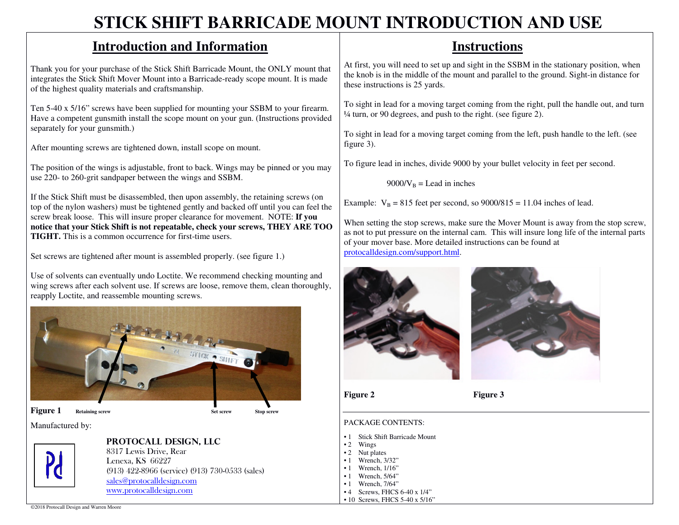# **STICK SHIFT BARRICADE MOUNT INTRODUCTION AND USE**

## **Introduction and Information**

Thank you for your purchase of the Stick Shift Barricade Mount, the ONLY mount that integrates the Stick Shift Mover Mount into a Barricade-ready scope mount. It is made of the highest quality materials and craftsmanship.

Ten 5-40 x 5/16" screws have been supplied for mounting your SSBM to your firearm. Have a competent gunsmith install the scope mount on your gun. (Instructions provided separately for your gunsmith.)

After mounting screws are tightened down, install scope on mount.

The position of the wings is adjustable, front to back. Wings may be pinned or you may use 220- to 260-grit sandpaper between the wings and SSBM.

If the Stick Shift must be disassembled, then upon assembly, the retaining screws (on top of the nylon washers) must be tightened gently and backed off until you can feel the screw break loose. This will insure proper clearance for movement. NOTE: **If you notice that your Stick Shift is not repeatable, check your screws, THEY ARE TOO TIGHT.** This is a common occurrence for first-time users.

Set screws are tightened after mount is assembled properly. (see figure 1.)

Use of solvents can eventually undo Loctite. We recommend checking mounting and wing screws after each solvent use. If screws are loose, remove them, clean thoroughly, reapply Loctite, and reassemble mounting screws.



**Figure 1** Retaining screw Stop screw Stop screw Stop screw Stop screw Stop screw

Manufactured by:



#### **Protocall Design, LLC**8317 Lewis Drive, Rear Lenexa, KS 66227 (913) 422-8966 (service) (913) 730-0533 (sales) sales@protocalldesign.comwww.protocalldesign.com

## **Instructions**

At first, you will need to set up and sight in the SSBM in the stationary position, when the knob is in the middle of the mount and parallel to the ground. Sight-in distance for these instructions is 25 yards.

To sight in lead for a moving target coming from the right, pull the handle out, and turn ¼ turn, or 90 degrees, and push to the right. (see figure 2).

To sight in lead for a moving target coming from the left, push handle to the left. (see figure 3).

To figure lead in inches, divide 9000 by your bullet velocity in feet per second.

 $9000/V_B =$ Lead in inches

Example:  $V_B = 815$  feet per second, so 9000/815 = 11.04 inches of lead.

When setting the stop screws, make sure the Mover Mount is away from the stop screw, as not to put pressure on the internal cam. This will insure long life of the internal parts of your mover base. More detailed instructions can be found at protocalldesign.com/support.html.





Figure 2 **Figure 3** 

### PACKAGE CONTENTS:

- 1 Stick Shift Barricade Mount
- 2 Wings
- 2 Nut plates • 1 Wrench, 3/32"
- 1 Wrench, 1/16"
- 1 Wrench, 5/64"
- 1 Wrench, 7/64"
- 4 Screws, FHCS 6-40 x 1/4"
- 10 Screws, FHCS 5-40 x 5/16"